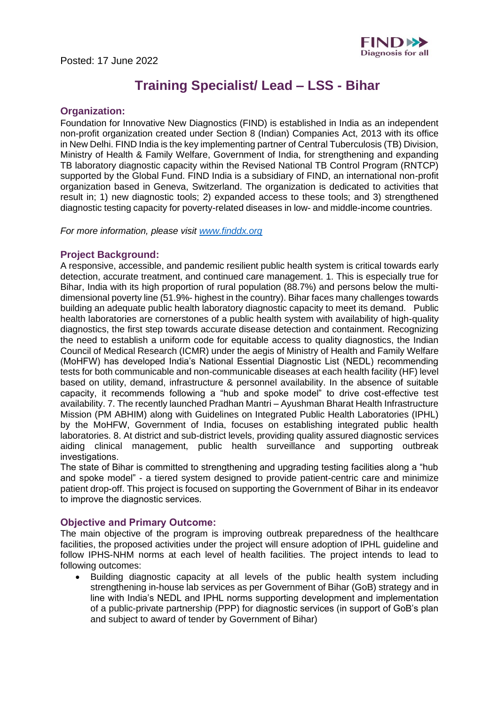

# **Training Specialist/ Lead – LSS - Bihar**

### **Organization:**

Foundation for Innovative New Diagnostics (FIND) is established in India as an independent non-profit organization created under Section 8 (Indian) Companies Act, 2013 with its office in New Delhi. FIND India is the key implementing partner of Central Tuberculosis (TB) Division, Ministry of Health & Family Welfare, Government of India, for strengthening and expanding TB laboratory diagnostic capacity within the Revised National TB Control Program (RNTCP) supported by the Global Fund. FIND India is a subsidiary of FIND, an international non-profit organization based in Geneva, Switzerland. The organization is dedicated to activities that result in; 1) new diagnostic tools; 2) expanded access to these tools; and 3) strengthened diagnostic testing capacity for poverty-related diseases in low- and middle-income countries. 

*For more information, please visit [www.finddx.org](http://www.finddx.org/)*

### **Project Background:**

A responsive, accessible, and pandemic resilient public health system is critical towards early detection, accurate treatment, and continued care management. 1. This is especially true for Bihar, India with its high proportion of rural population (88.7%) and persons below the multidimensional poverty line (51.9%- highest in the country). Bihar faces many challenges towards building an adequate public health laboratory diagnostic capacity to meet its demand. Public health laboratories are cornerstones of a public health system with availability of high-quality diagnostics, the first step towards accurate disease detection and containment. Recognizing the need to establish a uniform code for equitable access to quality diagnostics, the Indian Council of Medical Research (ICMR) under the aegis of Ministry of Health and Family Welfare (MoHFW) has developed India's National Essential Diagnostic List (NEDL) recommending tests for both communicable and non-communicable diseases at each health facility (HF) level based on utility, demand, infrastructure & personnel availability. In the absence of suitable capacity, it recommends following a "hub and spoke model" to drive cost-effective test availability. 7. The recently launched Pradhan Mantri – Ayushman Bharat Health Infrastructure Mission (PM ABHIM) along with Guidelines on Integrated Public Health Laboratories (IPHL) by the MoHFW, Government of India, focuses on establishing integrated public health laboratories. 8. At district and sub-district levels, providing quality assured diagnostic services aiding clinical management, public health surveillance and supporting outbreak investigations.  

The state of Bihar is committed to strengthening and upgrading testing facilities along a "hub and spoke model" - a tiered system designed to provide patient-centric care and minimize patient drop-off. This project is focused on supporting the Government of Bihar in its endeavor to improve the diagnostic services.  

### **Objective and Primary Outcome:**

The main objective of the program is improving outbreak preparedness of the healthcare facilities, the proposed activities under the project will ensure adoption of IPHL guideline and follow IPHS-NHM norms at each level of health facilities. The project intends to lead to following outcomes:

• Building diagnostic capacity at all levels of the public health system including strengthening in-house lab services as per Government of Bihar (GoB) strategy and in line with India's NEDL and IPHL norms supporting development and implementation of a public-private partnership (PPP) for diagnostic services (in support of GoB's plan and subject to award of tender by Government of Bihar)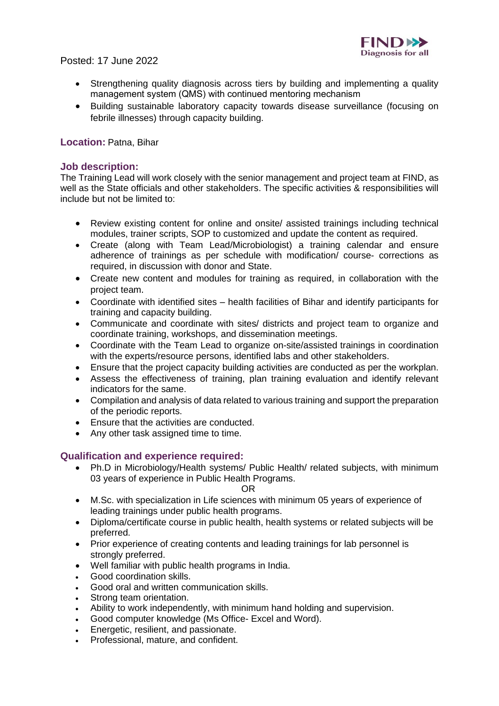

# Posted: 17 June 2022

- Strengthening quality diagnosis across tiers by building and implementing a quality management system (QMS) with continued mentoring mechanism
- Building sustainable laboratory capacity towards disease surveillance (focusing on febrile illnesses) through capacity building.

## **Location:** Patna, Bihar

## **Job description:**

The Training Lead will work closely with the senior management and project team at FIND, as well as the State officials and other stakeholders. The specific activities & responsibilities will include but not be limited to:

- Review existing content for online and onsite/ assisted trainings including technical modules, trainer scripts, SOP to customized and update the content as required.
- Create (along with Team Lead/Microbiologist) a training calendar and ensure adherence of trainings as per schedule with modification/ course- corrections as required, in discussion with donor and State.
- Create new content and modules for training as required, in collaboration with the project team.
- Coordinate with identified sites health facilities of Bihar and identify participants for training and capacity building.
- Communicate and coordinate with sites/ districts and project team to organize and coordinate training, workshops, and dissemination meetings.
- Coordinate with the Team Lead to organize on-site/assisted trainings in coordination with the experts/resource persons, identified labs and other stakeholders.
- Ensure that the project capacity building activities are conducted as per the workplan.
- Assess the effectiveness of training, plan training evaluation and identify relevant indicators for the same.
- Compilation and analysis of data related to various training and support the preparation of the periodic reports.
- Ensure that the activities are conducted.
- Any other task assigned time to time.

### **Qualification and experience required:**

• Ph.D in Microbiology/Health systems/ Public Health/ related subjects, with minimum 03 years of experience in Public Health Programs.

OR

- M.Sc. with specialization in Life sciences with minimum 05 years of experience of leading trainings under public health programs.
- Diploma/certificate course in public health, health systems or related subjects will be preferred.
- Prior experience of creating contents and leading trainings for lab personnel is strongly preferred.
- Well familiar with public health programs in India.
- Good coordination skills.
- Good oral and written communication skills.
- Strong team orientation.
- Ability to work independently, with minimum hand holding and supervision.
- Good computer knowledge (Ms Office- Excel and Word).
- Energetic, resilient, and passionate.
- Professional, mature, and confident.